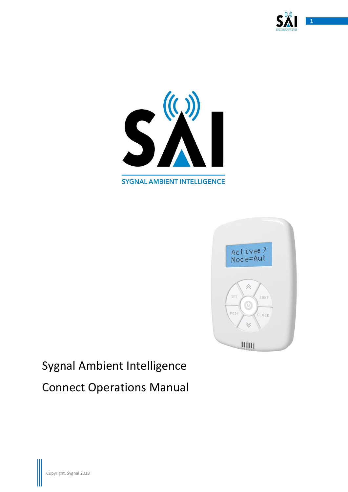





# Sygnal Ambient Intelligence Connect Operations Manual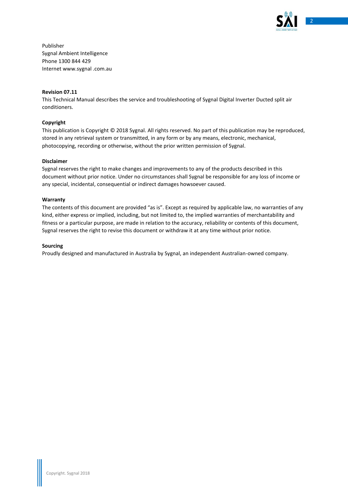

Publisher Sygnal Ambient Intelligence Phone 1300 844 429 Internet www.sygnal .com.au

### **Revision 07.11**

This Technical Manual describes the service and troubleshooting of Sygnal Digital Inverter Ducted split air conditioners.

### **Copyright**

This publication is Copyright © 2018 Sygnal. All rights reserved. No part of this publication may be reproduced, stored in any retrieval system or transmitted, in any form or by any means, electronic, mechanical, photocopying, recording or otherwise, without the prior written permission of Sygnal.

### **Disclaimer**

Sygnal reserves the right to make changes and improvements to any of the products described in this document without prior notice. Under no circumstances shall Sygnal be responsible for any loss of income or any special, incidental, consequential or indirect damages howsoever caused.

### **Warranty**

The contents of this document are provided "as is". Except as required by applicable law, no warranties of any kind, either express or implied, including, but not limited to, the implied warranties of merchantability and fitness or a particular purpose, are made in relation to the accuracy, reliability or contents of this document, Sygnal reserves the right to revise this document or withdraw it at any time without prior notice.

### **Sourcing**

Proudly designed and manufactured in Australia by Sygnal, an independent Australian-owned company.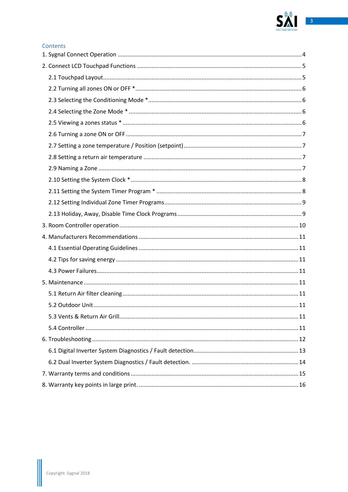

### Contents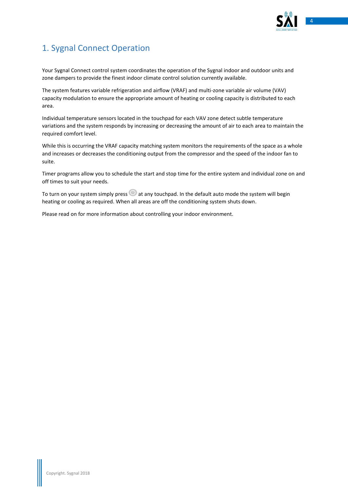

# <span id="page-3-0"></span>1. Sygnal Connect Operation

Your Sygnal Connect control system coordinates the operation of the Sygnal indoor and outdoor units and zone dampers to provide the finest indoor climate control solution currently available.

The system features variable refrigeration and airflow (VRAF) and multi-zone variable air volume (VAV) capacity modulation to ensure the appropriate amount of heating or cooling capacity is distributed to each area.

Individual temperature sensors located in the touchpad for each VAV zone detect subtle temperature variations and the system responds by increasing or decreasing the amount of air to each area to maintain the required comfort level.

While this is occurring the VRAF capacity matching system monitors the requirements of the space as a whole and increases or decreases the conditioning output from the compressor and the speed of the indoor fan to suite.

Timer programs allow you to schedule the start and stop time for the entire system and individual zone on and off times to suit your needs.

To turn on your system simply press  $\bigcirc$  at any touchpad. In the default auto mode the system will begin heating or cooling as required. When all areas are off the conditioning system shuts down.

Please read on for more information about controlling your indoor environment.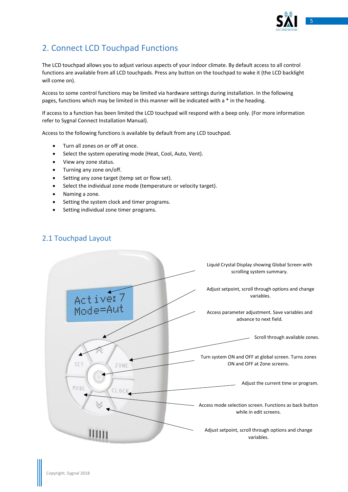

# <span id="page-4-0"></span>2. Connect LCD Touchpad Functions

The LCD touchpad allows you to adjust various aspects of your indoor climate. By default access to all control functions are available from all LCD touchpads. Press any button on the touchpad to wake it (the LCD backlight will come on).

Access to some control functions may be limited via hardware settings during installation. In the following pages, functions which may be limited in this manner will be indicated with a \* in the heading.

If access to a function has been limited the LCD touchpad will respond with a beep only. (For more information refer to Sygnal Connect Installation Manual).

Access to the following functions is available by default from any LCD touchpad.

- Turn all zones on or off at once.
- Select the system operating mode (Heat, Cool, Auto, Vent).
- View any zone status.
- Turning any zone on/off.
- Setting any zone target (temp set or flow set).
- Select the individual zone mode (temperature or velocity target).
- Naming a zone.
- Setting the system clock and timer programs.
- Setting individual zone timer programs.

# <span id="page-4-1"></span>2.1 Touchpad Layout

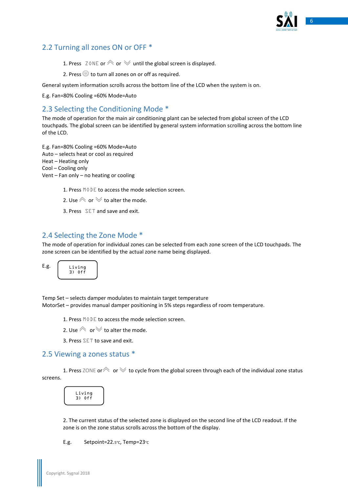

# <span id="page-5-0"></span>2.2 Turning all zones ON or OFF \*

- 1. Press ZONE or  $\otimes$  or  $\vee$  until the global screen is displayed.
- 2. Press  $\bullet$  to turn all zones on or off as required.

General system information scrolls across the bottom line of the LCD when the system is on.

E.g. Fan=80% Cooling =60% Mode=Auto

# <span id="page-5-1"></span>2.3 Selecting the Conditioning Mode \*

The mode of operation for the main air conditioning plant can be selected from global screen of the LCD touchpads. The global screen can be identified by general system information scrolling across the bottom line of the LCD.

E.g. Fan=80% Cooling =60% Mode=Auto Auto – selects heat or cool as required Heat – Heating only Cool – Cooling only Vent – Fan only – no heating or cooling

1. Press MODE to access the mode selection screen.

- 2. Use  $\otimes$  or  $\vee$  to alter the mode.
- 3. Press SET and save and exit.

# <span id="page-5-2"></span>2.4 Selecting the Zone Mode \*

The mode of operation for individual zones can be selected from each zone screen of the LCD touchpads. The zone screen can be identified by the actual zone name being displayed.





Temp Set – selects damper modulates to maintain target temperature MotorSet – provides manual damper positioning in 5% steps regardless of room temperature.

- 1. Press MODE to access the mode selection screen.
- 2. Use  $\otimes$  or  $\vee$  to alter the mode.
- 3. Press SET to save and exit.

### <span id="page-5-3"></span>2.5 Viewing a zones status \*

1. Press ZONE or  $\otimes$  or  $\vee$  to cycle from the global screen through each of the individual zone status screens.



2. The current status of the selected zone is displayed on the second line of the LCD readout. If the zone is on the zone status scrolls across the bottom of the display.

E.g. Setpoint=22.5°C, Temp=23°C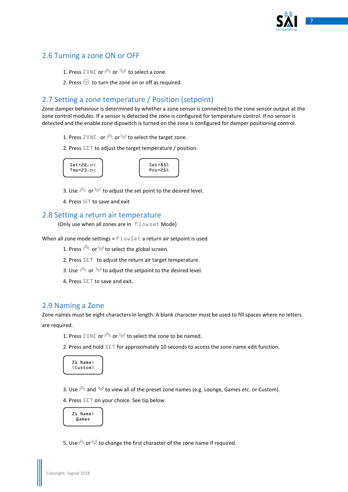

# <span id="page-6-0"></span>2.6 Turning a zone ON or OFF

- 1. Press ZONE or  $\otimes$  or  $\otimes$  to select a zone.
- 2. Press  $\bullet\bullet$  to turn the zone on or off as required.

# <span id="page-6-1"></span>2.7 Setting a zone temperature / Position (setpoint)

Zone damper behaviour is determined by whether a zone sensor is connected to the zone sensor output at the zone control modules. If a sensor is detected the zone is configured for temperature control. If no sensor is detected and the enable zone dipswitch is turned on the zone is configured for damper positioning control.

- 1. Press ZONE or  $\otimes$  or  $\vee$  to select the target zone.
- 2. Press SET to adjust the target temperature / position.



3. Use  $\triangle$  or  $\vee$  to adjust the set point to the desired level.

4. Press SET to save and exit

### <span id="page-6-2"></span>2.8 Setting a return air temperature

(Only use when all zones are in Flowset Mode)

When all zone mode settings =  $F$ lowSet a return air setpoint is used

- 1. Press  $\otimes$  or  $\vee$  to select the global screen.
- 2. Press SET to adjust the return air target temperature.
- 3. Use  $\triangle$  or  $\triangle$  to adjust the setpoint to the desired level.
- 4. Press SET to save and exit.

### <span id="page-6-3"></span>2.9 Naming a Zone

Zone names must be eight characters in length. A blank character must be used to fill spaces where no letters are required.

1. Press ZONE or  $\otimes$  or  $\vee$  to select the zone to be named.

2. Press and hold  $SET$  for approximately 10 seconds to access the zone name edit function.



3. Use  $\triangle$  and  $\vee$  to view all of the preset zone names (e.g. Lounge, Games etc. or Custom).

4. Press SET on your choice. See tip below.



5. Use  $\triangle$  or  $\triangle$  to change the first character of the zone name if required.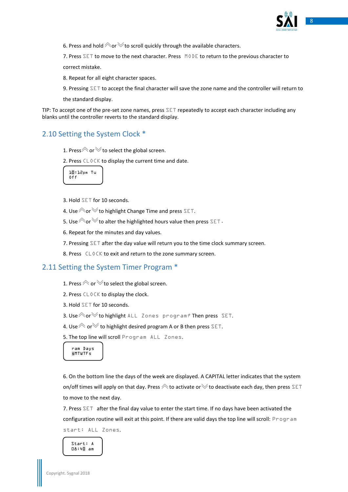

6. Press and hold  $\triangle$  or  $\triangle$  to scroll quickly through the available characters.

7. Press  $\sum$  T to move to the next character. Press  $\mod$   $\mathbb{R}$  to return to the previous character to

correct mistake.

8. Repeat for all eight character spaces.

9. Pressing SET to accept the final character will save the zone name and the controller will return to

the standard display.

TIP: To accept one of the pre-set zone names, press  $SET$  repeatedly to accept each character including any blanks until the controller reverts to the standard display.

# <span id="page-7-0"></span>2.10 Setting the System Clock \*

- 1. Press  $\otimes$  or  $\vee$  to select the global screen.
- 2. Press CLOCK to display the current time and date.



- 3. Hold SET for 10 seconds.
- 4. Use  $\triangle$  or  $\triangle$  to highlight Change Time and press SET.
- 5. Use  $\triangle$  or  $\triangle$  to alter the highlighted hours value then press SET.
- 6. Repeat for the minutes and day values.
- 7. Pressing SET after the day value will return you to the time clock summary screen.
- 8. Press CLOCK to exit and return to the zone summary screen.

# <span id="page-7-1"></span>2.11 Setting the System Timer Program \*

- 1. Press  $\otimes$  or  $\vee$  to select the global screen.
- 2. Press  $CL$   $0$   $CK$  to display the clock.
- 3. Hold SET for 10 seconds.
- 3. Use  $\triangle$  or  $\triangle$  to highlight ALL Zones program? Then press SET.
- 4. Use  $\otimes$  or  $\vee$  to highlight desired program A or B then press SET.

5. The top line will scroll Program ALL Zones.

ram Days sMTWTFs

6. On the bottom line the days of the week are displayed. A CAPITAL letter indicates that the system on/off times will apply on that day. Press  $\otimes$  to activate or  $\vee$  to deactivate each day, then press SET to move to the next day.

7. Press SET after the final day value to enter the start time. If no days have been activated the configuration routine will exit at this point. If there are valid days the top line will scroll: Program start: ALL Zones.

Start: A 08:40 am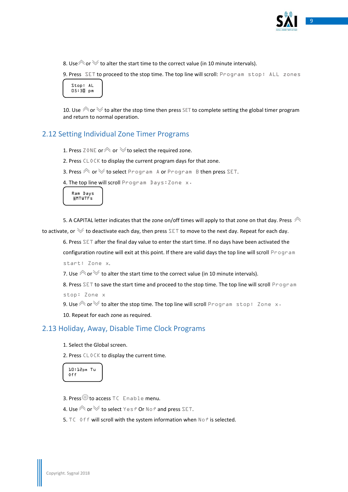

8. Use  $\hat{\otimes}$  or  $\hat{\otimes}$  to alter the start time to the correct value (in 10 minute intervals).

9. Press SET to proceed to the stop time. The top line will scroll: Program stop: ALL zones



10. Use  $\triangle$  or  $\triangle$  to alter the stop time then press SET to complete setting the global timer program and return to normal operation.

# <span id="page-8-0"></span>2.12 Setting Individual Zone Timer Programs

1. Press  $Z$  ONE or  $\otimes$  or  $\otimes$  to select the required zone.

2. Press CLOCK to display the current program days for that zone.

3. Press  $\hat{\mathcal{P}}$  or  $\hat{\mathcal{V}}$  to select Program A or Program B then press SET.

4. The top line will scroll Program Days: Zone x.

Ram Days sMTWTF<sub>s</sub>

5. A CAPITAL letter indicates that the zone on/off times will apply to that zone on that day. Press  $\triangle$ to activate, or  $\vee$  to deactivate each day, then press SET to move to the next day. Repeat for each day.

6. Press SET after the final day value to enter the start time. If no days have been activated the configuration routine will exit at this point. If there are valid days the top line will scroll Program start: Zone x.

7. Use  $\triangle$  or  $\vee$  to alter the start time to the correct value (in 10 minute intervals).

8. Press SET to save the start time and proceed to the stop time. The top line will scroll Program stop: Zone x

9. Use  $\triangle$  or  $\vee$  to alter the stop time. The top line will scroll Program stop: Zone x.

10. Repeat for each zone as required.

### <span id="page-8-1"></span>2.13 Holiday, Away, Disable Time Clock Programs

1. Select the Global screen.

2. Press  $CL0CK$  to display the current time.

10:12pm Tu Off

- 3. Press<sup>1</sup> to access TC Enable menu.
- 4. Use  $\hat{\curvearrowright}$  or  $\check{\triangledown}$  to select Yes? Or No? and press SET.
- 5. TC Off will scroll with the system information when No? is selected.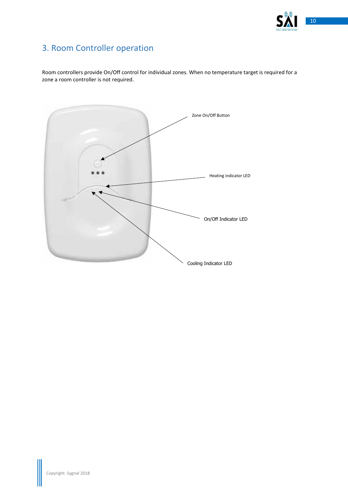

# <span id="page-9-0"></span>3. Room Controller operation

Room controllers provide On/Off control for individual zones. When no temperature target is required for a zone a room controller is not required.

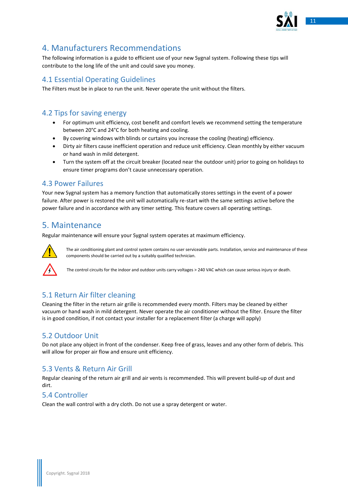

# <span id="page-10-0"></span>4. Manufacturers Recommendations

The following information is a guide to efficient use of your new Sygnal system. Following these tips will contribute to the long life of the unit and could save you money.

# <span id="page-10-1"></span>4.1 Essential Operating Guidelines

The Filters must be in place to run the unit. Never operate the unit without the filters.

# <span id="page-10-2"></span>4.2 Tips for saving energy

- For optimum unit efficiency, cost benefit and comfort levels we recommend setting the temperature between 20°C and 24°C for both heating and cooling.
- By covering windows with blinds or curtains you increase the cooling (heating) efficiency.
- Dirty air filters cause inefficient operation and reduce unit efficiency. Clean monthly by either vacuum or hand wash in mild detergent.
- Turn the system off at the circuit breaker (located near the outdoor unit) prior to going on holidays to ensure timer programs don't cause unnecessary operation.

# <span id="page-10-3"></span>4.3 Power Failures

Your new Sygnal system has a memory function that automatically stores settings in the event of a power failure. After power is restored the unit will automatically re-start with the same settings active before the power failure and in accordance with any timer setting. This feature covers all operating settings.

# <span id="page-10-4"></span>5. Maintenance

Regular maintenance will ensure your Sygnal system operates at maximum efficiency.



The air conditioning plant and control system contains no user serviceable parts. Installation, service and maintenance of these components should be carried out by a suitably qualified technician.

The control circuits for the indoor and outdoor units carry voltages > 240 VAC which can cause serious injury or death.

# <span id="page-10-5"></span>5.1 Return Air filter cleaning

Cleaning the filter in the return air grille is recommended every month. Filters may be cleaned by either vacuum or hand wash in mild detergent. Never operate the air conditioner without the filter. Ensure the filter is in good condition, if not contact your installer for a replacement filter (a charge will apply)

# <span id="page-10-6"></span>5.2 Outdoor Unit

Do not place any object in front of the condenser. Keep free of grass, leaves and any other form of debris. This will allow for proper air flow and ensure unit efficiency.

# <span id="page-10-7"></span>5.3 Vents & Return Air Grill

Regular cleaning of the return air grill and air vents is recommended. This will prevent build-up of dust and dirt.

# <span id="page-10-8"></span>5.4 Controller

Clean the wall control with a dry cloth. Do not use a spray detergent or water.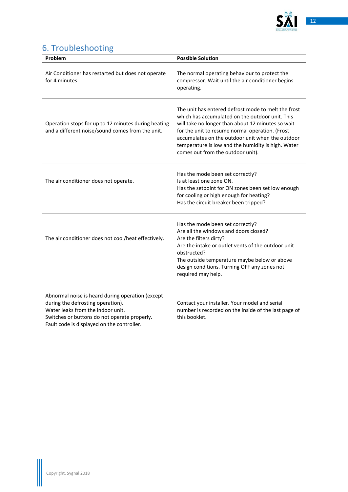

# <span id="page-11-0"></span>6. Troubleshooting

| Problem                                                                                                                                                                                                                  | <b>Possible Solution</b>                                                                                                                                                                                                                                                                                                                                      |
|--------------------------------------------------------------------------------------------------------------------------------------------------------------------------------------------------------------------------|---------------------------------------------------------------------------------------------------------------------------------------------------------------------------------------------------------------------------------------------------------------------------------------------------------------------------------------------------------------|
| Air Conditioner has restarted but does not operate<br>for 4 minutes                                                                                                                                                      | The normal operating behaviour to protect the<br>compressor. Wait until the air conditioner begins<br>operating.                                                                                                                                                                                                                                              |
| Operation stops for up to 12 minutes during heating<br>and a different noise/sound comes from the unit.                                                                                                                  | The unit has entered defrost mode to melt the frost<br>which has accumulated on the outdoor unit. This<br>will take no longer than about 12 minutes so wait<br>for the unit to resume normal operation. (Frost<br>accumulates on the outdoor unit when the outdoor<br>temperature is low and the humidity is high. Water<br>comes out from the outdoor unit). |
| The air conditioner does not operate.                                                                                                                                                                                    | Has the mode been set correctly?<br>Is at least one zone ON.<br>Has the setpoint for ON zones been set low enough<br>for cooling or high enough for heating?<br>Has the circuit breaker been tripped?                                                                                                                                                         |
| The air conditioner does not cool/heat effectively.                                                                                                                                                                      | Has the mode been set correctly?<br>Are all the windows and doors closed?<br>Are the filters dirty?<br>Are the intake or outlet vents of the outdoor unit<br>obstructed?<br>The outside temperature maybe below or above<br>design conditions. Turning OFF any zones not<br>required may help.                                                                |
| Abnormal noise is heard during operation (except<br>during the defrosting operation).<br>Water leaks from the indoor unit.<br>Switches or buttons do not operate properly.<br>Fault code is displayed on the controller. | Contact your installer. Your model and serial<br>number is recorded on the inside of the last page of<br>this booklet.                                                                                                                                                                                                                                        |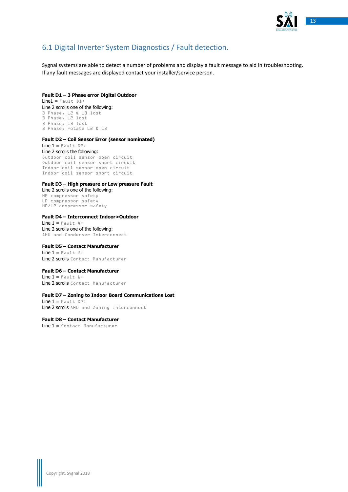

# <span id="page-12-0"></span>6.1 Digital Inverter System Diagnostics / Fault detection.

Sygnal systems are able to detect a number of problems and display a fault message to aid in troubleshooting. If any fault messages are displayed contact your installer/service person.

#### **Fault D1 – 3 Phase error Digital Outdoor**  $Line1 = Fault$   $D1$ :

Line 2 scrolls one of the following: 3 Phase, L2 & L3 lost 3 Phase, L2 lost 3 Phase, L3 lost 3 Phase, rotate L2 & L3

### **Fault D2 – Coil Sensor Error (sensor nominated)**

Line  $1 =$  Fault D2: Line 2 scrolls the following: Outdoor coil sensor open circuit Outdoor coil sensor short circuit Indoor coil sensor open circuit Indoor coil sensor short circuit

#### **Fault D3 – High pressure or Low pressure Fault**

Line 2 scrolls one of the following: HP compressor safety LP compressor safety HP/LP compressor safety

#### **Fault D4 – Interconnect Indoor>Outdoor**

Line  $1 =$  Fault 4: Line 2 scrolls one of the following: AHU and Condenser Interconnect

#### **Fault D5 – Contact Manufacturer**

Line  $1 =$  Fault 5: Line 2 scrolls Contact Manufacturer

#### **Fault D6 – Contact Manufacturer**

Line  $1 =$  Fault  $6:$ Line 2 scrolls Contact Manufacturer

#### **Fault D7 – Zoning to Indoor Board Communications Lost**

Line  $1 =$  Fault D7: Line 2 scrolls AHU and Zoning interconnect

### **Fault D8 – Contact Manufacturer**

Line 1 = Contact Manufacturer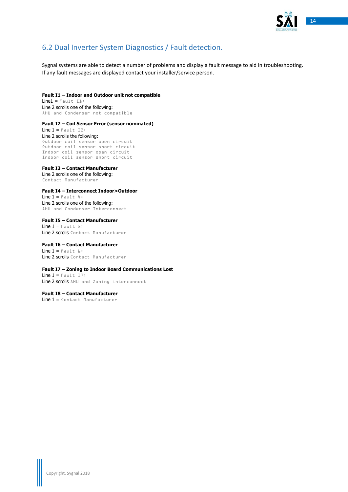

# <span id="page-13-0"></span>6.2 Dual Inverter System Diagnostics / Fault detection.

Sygnal systems are able to detect a number of problems and display a fault message to aid in troubleshooting. If any fault messages are displayed contact your installer/service person.

### **Fault I1 – Indoor and Outdoor unit not compatible**

 $Line1 = Fault 11$ : Line 2 scrolls one of the following: AHU and Condenser not compatible

#### **Fault I2 – Coil Sensor Error (sensor nominated)**

Line  $1 =$  Fault I2: Line 2 scrolls the following: Outdoor coil sensor open circuit Outdoor coil sensor short circuit Indoor coil sensor open circuit Indoor coil sensor short circuit

### **Fault I3 – Contact Manufacturer**

Line 2 scrolls one of the following: Contact Manufacturer

### **Fault I4 – Interconnect Indoor>Outdoor**

Line  $1 =$  Fault 4: Line 2 scrolls one of the following: AHU and Condenser Interconnect

**Fault I5 – Contact Manufacturer** Line  $1 =$  Fault 5: Line 2 scrolls Contact Manufacturer

#### **Fault I6 – Contact Manufacturer** Line  $1 =$  Fault  $6:$ Line 2 scrolls Contact Manufacturer

### **Fault I7 – Zoning to Indoor Board Communications Lost**

Line  $1 =$  Fault I7: Line 2 scrolls AHU and Zoning interconnect

**Fault I8 – Contact Manufacturer** Line 1 = Contact Manufacturer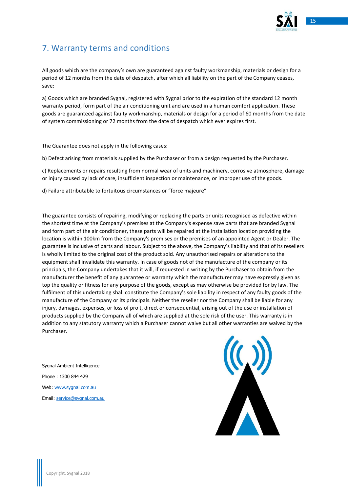

# <span id="page-14-0"></span>7. Warranty terms and conditions

All goods which are the company's own are guaranteed against faulty workmanship, materials or design for a period of 12 months from the date of despatch, after which all liability on the part of the Company ceases, save:

a) Goods which are branded Sygnal, registered with Sygnal prior to the expiration of the standard 12 month warranty period, form part of the air conditioning unit and are used in a human comfort application. These goods are guaranteed against faulty workmanship, materials or design for a period of 60 months from the date of system commissioning or 72 months from the date of despatch which ever expires first.

The Guarantee does not apply in the following cases:

b) Defect arising from materials supplied by the Purchaser or from a design requested by the Purchaser.

c) Replacements or repairs resulting from normal wear of units and machinery, corrosive atmosphere, damage or injury caused by lack of care, insufficient inspection or maintenance, or improper use of the goods.

d) Failure attributable to fortuitous circumstances or "force majeure"

The guarantee consists of repairing, modifying or replacing the parts or units recognised as defective within the shortest time at the Company's premises at the Company's expense save parts that are branded Sygnal and form part of the air conditioner, these parts will be repaired at the installation location providing the location is within 100km from the Company's premises or the premises of an appointed Agent or Dealer. The guarantee is inclusive of parts and labour. Subject to the above, the Company's liability and that of its resellers is wholly limited to the original cost of the product sold. Any unauthorised repairs or alterations to the equipment shall invalidate this warranty. In case of goods not of the manufacture of the company or its principals, the Company undertakes that it will, if requested in writing by the Purchaser to obtain from the manufacturer the benefit of any guarantee or warranty which the manufacturer may have expressly given as top the quality or fitness for any purpose of the goods, except as may otherwise be provided for by law. The fulfilment of this undertaking shall constitute the Company's sole liability in respect of any faulty goods of the manufacture of the Company or its principals. Neither the reseller nor the Company shall be liable for any injury, damages, expenses, or loss of pro t, direct or consequential, arising out of the use or installation of products supplied by the Company all of which are supplied at the sole risk of the user. This warranty is in addition to any statutory warranty which a Purchaser cannot waive but all other warranties are waived by the Purchaser.

Sygnal Ambient Intelligence Phone : 1300 844 429 Web: [www.sygnal.com.au](http://www.sygnal.com.au/) Email: [service@sygnal.com.au](mailto:service@sygnal.com.au)